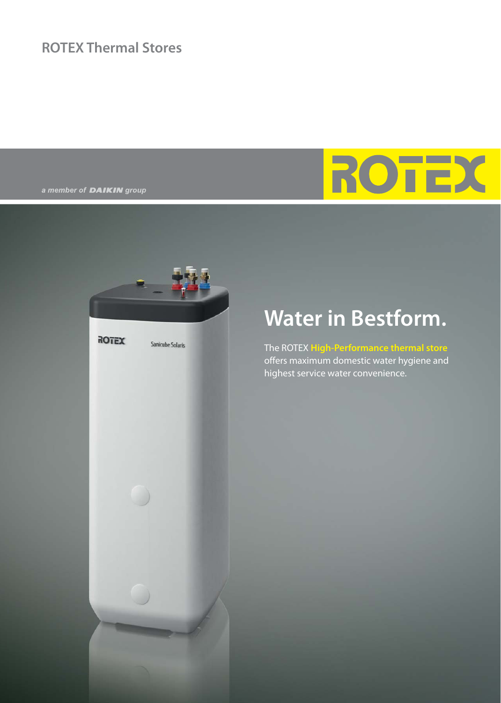### **ROTEX Thermal Stores**

a member of **DAIKIN** group

# ROTE



### **Water in Bestform.**

The ROTEX **High-Performance thermal store** offers maximum domestic water hygiene and highest service water convenience.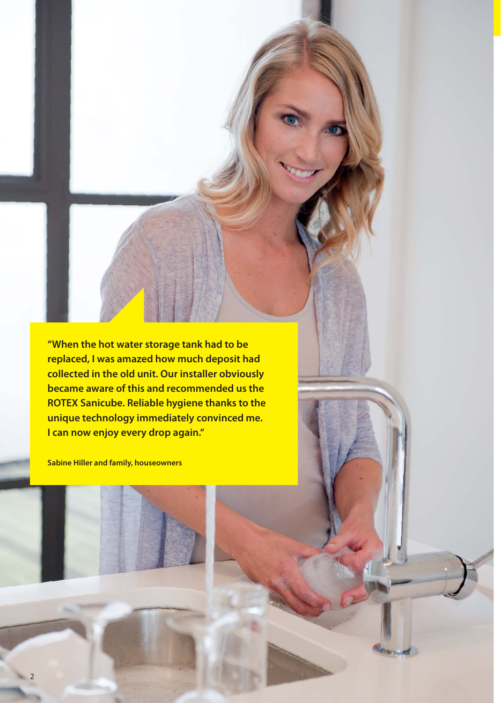**"When the hot water storage tank had to be replaced, I was amazed how much deposit had collected in the old unit. Our installer obviously became aware of this and recommended us the ROTEX Sanicube. Reliable hygiene thanks to the unique technology immediately convinced me. I can now enjoy every drop again."**

**Sabine Hiller and family, houseowners** 

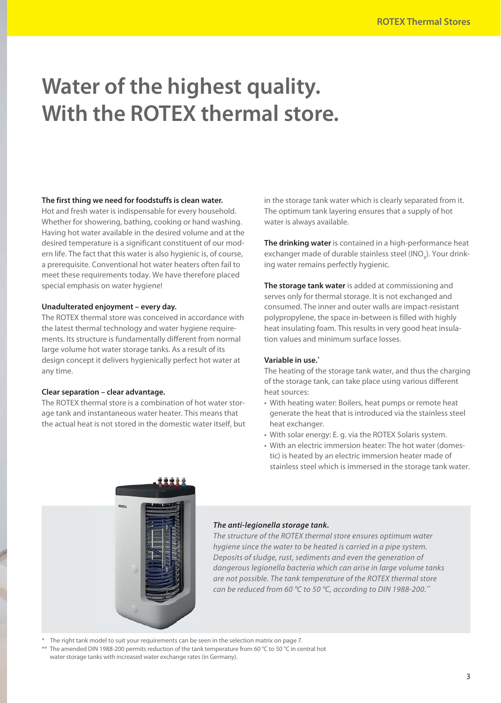### **Water of the highest quality. With the ROTEX thermal store.**

#### **The first thing we need for foodstuffs is clean water.**

Hot and fresh water is indispensable for every household. Whether for showering, bathing, cooking or hand washing. Having hot water available in the desired volume and at the desired temperature is a significant constituent of our modern life. The fact that this water is also hygienic is, of course, a prerequisite. Conventional hot water heaters often fail to meet these requirements today. We have therefore placed special emphasis on water hygiene!

#### **Unadulterated enjoyment – every day.**

The ROTEX thermal store was conceived in accordance with the latest thermal technology and water hygiene requirements. Its structure is fundamentally different from normal large volume hot water storage tanks. As a result of its design concept it delivers hygienically perfect hot water at any time.

#### **Clear separation – clear advantage.**

The ROTEX thermal store is a combination of hot water storage tank and instantaneous water heater. This means that the actual heat is not stored in the domestic water itself, but in the storage tank water which is clearly separated from it. The optimum tank layering ensures that a supply of hot water is always available.

**The drinking water** is contained in a high-performance heat exchanger made of durable stainless steel (INO<sub>x</sub>). Your drinking water remains perfectly hygienic.

**The storage tank water** is added at commissioning and serves only for thermal storage. It is not exchanged and con sumed. The inner and outer walls are impact-resistant polypropylene, the space in-between is filled with highly heat insulating foam. This results in very good heat insulation values and minimum surface losses.

#### **Variable in use.\***

The heating of the storage tank water, and thus the charging of the storage tank, can take place using various different heat sources:

- With heating water: Boilers, heat pumps or remote heat generate the heat that is introduced via the stainless steel heat exchanger.
- With solar energy: E. g. via the ROTEX Solaris system.
- With an electric immersion heater: The hot water (domestic) is heated by an electric immersion heater made of stainless steel which is immersed in the storage tank water.



#### *The anti-legionella storage tank.*

The structure of the ROTEX thermal store ensures optimum water hygiene since the water to be heated is carried in a pipe system. Deposits of sludge, rust, sediments and even the generation of dangerous legionella bacteria which can arise in large volume tanks are not possible. The tank temperature of the ROTEX thermal store can be reduced from 60 °C to 50 °C, according to DIN 1988-200.\*\*

The right tank model to suit your requirements can be seen in the selection matrix on page 7.

\*\* The amended DIN 1988-200 permits reduction of the tank temperature from 60 °C to 50 °C in central hot water storage tanks with increased water exchange rates (in Germany).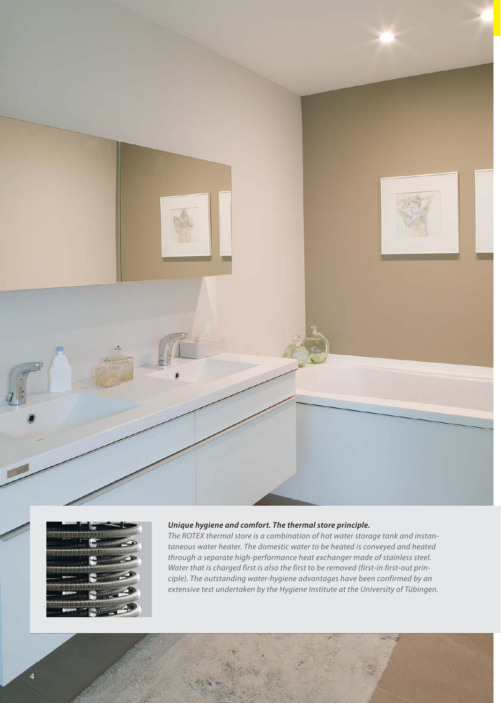



#### *Unique hygiene and comfort. The thermal store principle.*

The ROTEX thermal store is a combination of hot water storage tank and instantaneous water heater. The domestic water to be heated is conveyed and heated through a separate high-performance heat exchanger made of stainless steel. Water that is charged first is also the first to be removed (first-in first-out principle). The outstanding water-hygiene advantages have been confirmed by an extensive test undertaken by the Hygiene Institute at the University of Tübingen.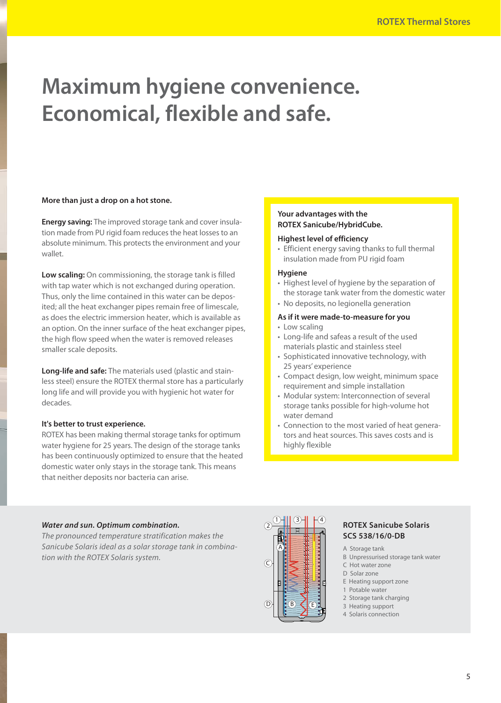## **Maximum hygiene convenience. Economical, flexible and safe.**

#### **More than just a drop on a hot stone.**

**Energy saving:** The improved storage tank and cover insulation made from PU rigid foam reduces the heat losses to an absolute minimum. This protects the environment and your wallet.

**Low scaling:** On commissioning, the storage tank is filled with tap water which is not exchanged during operation. Thus, only the lime contained in this water can be deposited; all the heat exchanger pipes remain free of limescale, as does the electric immersion heater, which is available as an option. On the inner surface of the heat exchanger pipes, the high flow speed when the water is removed releases smaller scale deposits.

**Long-life and safe:** The materials used (plastic and stainless steel) ensure the ROTEX thermal store has a particularly long life and will provide you with hygienic hot water for decades.

#### **It's better to trust experience.**

ROTEX has been making thermal storage tanks for optimum water hygiene for 25 years. The design of the storage tanks has been continuously optimized to ensure that the heated domestic water only stays in the storage tank. This means that neither deposits nor bacteria can arise.

#### **Your advantages with the ROTEX Sanicube/HybridCube.**

#### **Highest level of efficiency**

• Efficient energy saving thanks to full thermal insulation made from PU rigid foam

#### **Hygiene**

- Highest level of hygiene by the separation of the storage tank water from the domestic water
- No deposits, no legionella generation

#### **As if it were made-to-measure for you**

- Low scaling
- Long-life and safeas a result of the used materials plastic and stainless steel
- Sophisticated innovative technology, with 25 years' experience
- Compact design, low weight, minimum space requirement and simple installation
- Modular system: Interconnection of several storage tanks possible for high-volume hot water demand
- Connection to the most varied of heat generators and heat sources. This saves costs and is highly flexible

#### *Water and sun. Optimum combination.*

The pronounced temperature stratification makes the Sanicube Solaris ideal as a solar storage tank in combination with the ROTEX Solaris system.



#### **ROTEX Sanicube Solaris SCS 538/16/0-DB**

- A Storage tank
- B Unpressurised storage tank water
- C Hot water zone
- D Solar zone E Heating support zone
- 1 Potable water
- 2 Storage tank charging
- 3 Heating support
- 4 Solaris connection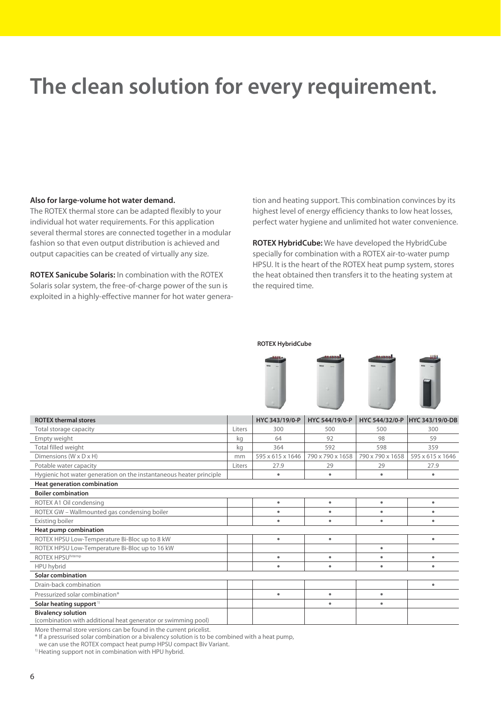### **The clean solution for every requirement.**

#### **Also for large-volume hot water demand.**

The ROTEX thermal store can be adapted flexibly to your individual hot water requirements. For this application several thermal stores are connected together in a modular fashion so that even output distribution is achieved and output capacities can be created of virtually any size.

**ROTEX Sanicube Solaris:** In combination with the ROTEX Solaris solar system, the free-of-charge power of the sun is exploited in a highly-effective manner for hot water generation and heating support. This combination convinces by its highest level of energy efficiency thanks to low heat losses, perfect water hygiene and unlimited hot water convenience.

**ROTEX HybridCube:** We have developed the HybridCube specially for combination with a ROTEX air-to-water pump HPSU. It is the heart of the ROTEX heat pump system, stores the heat obtained then transfers it to the heating system at the required time.

#### **ROTEX HybridCube**



| <b>ROTEX thermal stores</b>                                                                |        | HYC 343/19/0-P   | HYC 544/19/0-P   | HYC 544/32/0-P   | <b>HYC 343/19/0-DB</b> |  |  |  |  |
|--------------------------------------------------------------------------------------------|--------|------------------|------------------|------------------|------------------------|--|--|--|--|
| Total storage capacity                                                                     | Liters | 300              | 500              | 500              | 300                    |  |  |  |  |
| Empty weight                                                                               | kg     | 64               | 92               | 98               | 59                     |  |  |  |  |
| Total filled weight                                                                        | kg     | 364              | 592              | 598              | 359                    |  |  |  |  |
| Dimensions (W x D x H)                                                                     | mm     | 595 x 615 x 1646 | 790 x 790 x 1658 | 790 x 790 x 1658 | 595 x 615 x 1646       |  |  |  |  |
| Potable water capacity                                                                     |        | 27.9             | 29               | 29               | 27.9                   |  |  |  |  |
| Hygienic hot water generation on the instantaneous heater principle                        |        | ۰                | $\bullet$        | ٠                | ٠                      |  |  |  |  |
| Heat generation combination                                                                |        |                  |                  |                  |                        |  |  |  |  |
| <b>Boiler combination</b>                                                                  |        |                  |                  |                  |                        |  |  |  |  |
| ROTEX A1 Oil condensing                                                                    |        | $\bullet$        | ٠                | ٠                | $\bullet$              |  |  |  |  |
| ROTEX GW - Wallmounted gas condensing boiler                                               |        | $\bullet$        | $\bullet$        | $\bullet$        | ٠                      |  |  |  |  |
| Existing boiler                                                                            |        | ٠                | ۰                | ٠                | $\bullet$              |  |  |  |  |
| Heat pump combination                                                                      |        |                  |                  |                  |                        |  |  |  |  |
| ROTEX HPSU Low-Temperature Bi-Bloc up to 8 kW                                              |        | ۰                | ۰                |                  | ٠                      |  |  |  |  |
| ROTEX HPSU Low-Temperature Bi-Bloc up to 16 kW                                             |        |                  |                  | ٠                |                        |  |  |  |  |
| ROTEX HPSUhitemp                                                                           |        | ٠                | $\bullet$        | ٠                | ٠                      |  |  |  |  |
| HPU hybrid                                                                                 |        | $\bullet$        | $\bullet$        | ٠                | ۰                      |  |  |  |  |
| <b>Solar combination</b>                                                                   |        |                  |                  |                  |                        |  |  |  |  |
| Drain-back combination                                                                     |        |                  |                  |                  | $\bullet$              |  |  |  |  |
| Pressurized solar combination*                                                             |        | $\bullet$        | ۰                | $\bullet$        |                        |  |  |  |  |
| Solar heating support <sup>1)</sup>                                                        |        |                  | ۰                | ٠                |                        |  |  |  |  |
| <b>Bivalency solution</b><br>(combination with additional heat generator or swimming pool) |        |                  |                  |                  |                        |  |  |  |  |

More thermal store versions can be found in the current pricelist.

\* If a pressurised solar combination or a bivalency solution is to be combined with a heat pump,

we can use the ROTEX compact heat pump HPSU compact Biv Variant.

<sup>1)</sup> Heating support not in combination with HPU hybrid.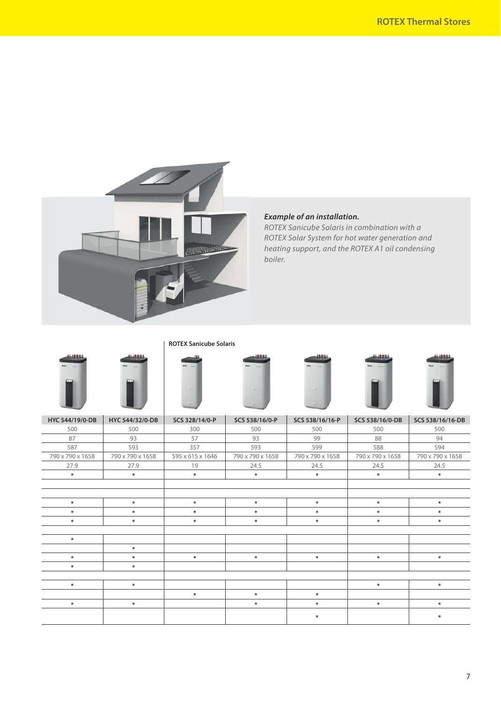

#### *Example of an installation.*

ROTEX Sanicube Solaris in combination with a ROTEX Solar System for hot water generation and heating support, and the ROTEX A1 oil condensing boiler.

**ROTEX Sanicube Solaris**



|                  | . <b>. .</b> <u>.</u> . | <u>--- ---,,</u> | <u>.</u> .       |                  |                  |                  |
|------------------|-------------------------|------------------|------------------|------------------|------------------|------------------|
| 500              | 500                     | 300              | 500              | 500              | 500              | 500              |
| 87               | 93                      | 57               | 93               | 99               | 88               | 94               |
| 587              | 593                     | 357              | 593              | 599              | 588              | 594              |
| 790 x 790 x 1658 | 790 x 790 x 1658        | 595 x 615 x 1646 | 790 x 790 x 1658 | 790 x 790 x 1658 | 790 x 790 x 1658 | 790 x 790 x 1658 |
| 27.9             | 27.9                    | 19               | 24.5             | 24.5             | 24.5             | 24.5             |
| $\bullet$        | $\bullet$               | $\bullet$        | $\bullet$        | $\bullet$        | $\bullet$        | $\bullet$        |
|                  |                         |                  |                  |                  |                  |                  |
|                  |                         |                  |                  |                  |                  |                  |
| ٠                | $\bullet$               | $\bullet$        | $\bullet$        | $\bullet$        | $\bullet$        | ٠                |
| ٠                | ٠                       | ٠                | $\bullet$        | ۰                | ٠                | ٠                |
| ٠                | $\bullet$               | $\bullet$        | $\bullet$        | $\bullet$        | $\bullet$        | ٠                |
|                  |                         |                  |                  |                  |                  |                  |
| $\bullet$        |                         |                  |                  |                  |                  |                  |
|                  | $\bullet$               |                  |                  |                  |                  |                  |
| ٠                | ٠                       | $\bullet$        | $\bullet$        | $\bullet$        | $\bullet$        | $\bullet$        |
| ٠                | ٠                       |                  |                  |                  |                  |                  |
|                  |                         |                  |                  |                  |                  |                  |
| $\bullet$        | $\bullet$               |                  |                  |                  | $\bullet$        | $\bullet$        |
|                  |                         | $\bullet$        | $\bullet$        | ۰                |                  |                  |
| ٠                | $\bullet$               |                  | $\bullet$        | $\bullet$        | $\bullet$        | $\bullet$        |
|                  |                         |                  |                  |                  |                  |                  |
|                  |                         |                  |                  |                  |                  |                  |